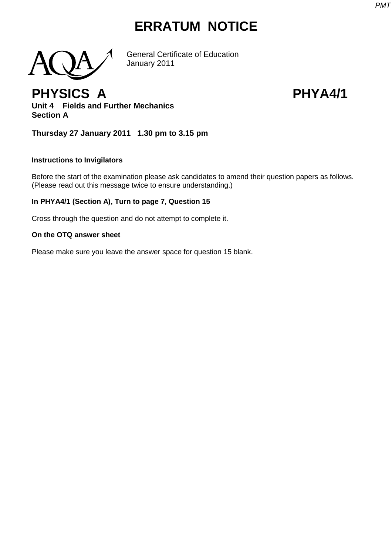# **ERRATUM NOTICE**



General Certificate of Education January 2011

# **PHYSICS A PHYA4/1**

**Unit 4 Fields and Further Mechanics Section A**

**Thursday 27 January 2011 1.30 pm to 3.15 pm**

## **Instructions to Invigilators**

Before the start of the examination please ask candidates to amend their question papers as follows. (Please read out this message twice to ensure understanding.)

# **In PHYA4/1 (Section A), Turn to page 7, Question 15**

Cross through the question and do not attempt to complete it.

## **On the OTQ answer sheet**

Please make sure you leave the answer space for question 15 blank.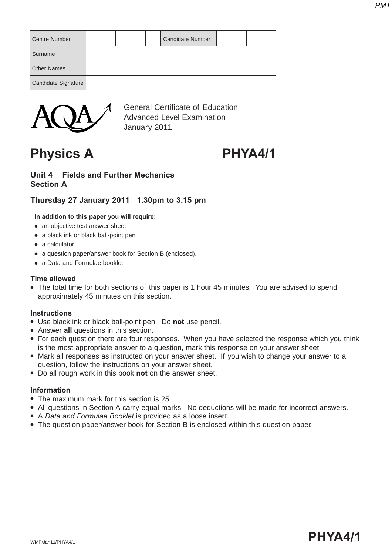| <b>Centre Number</b> |  |  | <b>Candidate Number</b> |  |  |
|----------------------|--|--|-------------------------|--|--|
| Surname              |  |  |                         |  |  |
| <b>Other Names</b>   |  |  |                         |  |  |
| Candidate Signature  |  |  |                         |  |  |



General Certificate of Education Advanced Level Examination January 2011

# **Physics A PHYA4/1**

## **Unit 4 Fields and Further Mechanics Section A**

# **Thursday 27 January 2011 1.30pm to 3.15 pm**

#### **In addition to this paper you will require:**

- an objective test answer sheet
- a black ink or black ball-point pen
- a calculator
- a question paper/answer book for Section B (enclosed).
- a Data and Formulae booklet

### **Time allowed**

• The total time for both sections of this paper is 1 hour 45 minutes. You are advised to spend approximately 45 minutes on this section.

### **Instructions**

- Use black ink or black ball-point pen. Do **not** use pencil.
- Answer **all** questions in this section.
- For each question there are four responses. When you have selected the response which you think is the most appropriate answer to a question, mark this response on your answer sheet.
- Mark all responses as instructed on your answer sheet. If you wish to change your answer to a question, follow the instructions on your answer sheet.
- Do all rough work in this book **not** on the answer sheet.

### **Information**

- The maximum mark for this section is 25.
- All questions in Section A carry equal marks. No deductions will be made for incorrect answers.
- A *Data and Formulae Booklet* is provided as a loose insert.
- The question paper/answer book for Section B is enclosed within this question paper.

# wmp/Jan11/PHYA4/1  $\blacksquare$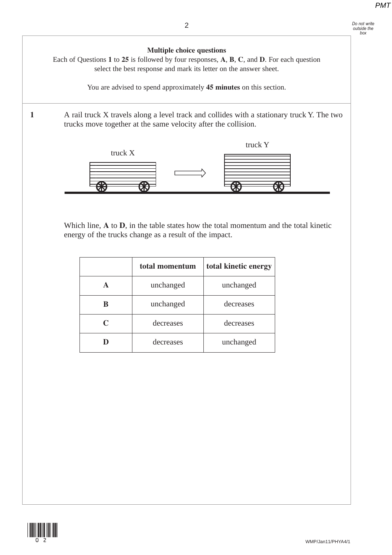

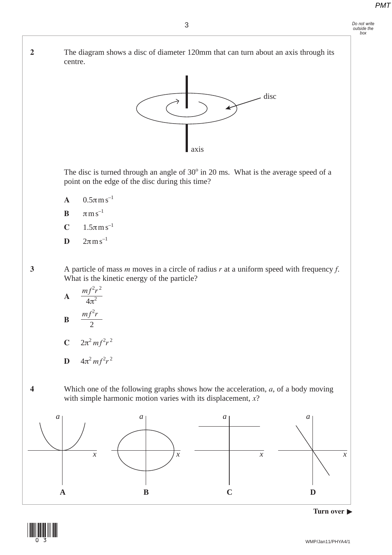**2** The diagram shows a disc of diameter 120mm that can turn about an axis through its centre.



The disc is turned through an angle of  $30^{\circ}$  in 20 ms. What is the average speed of a point on the edge of the disc during this time?

- **A**  $0.5\pi \text{ m s}^{-1}$
- **B**  $\pi$ m s<sup>-1</sup>
- **C**  $1.5πms^{-1}$
- **D**  $2πms^{-1}$

**3** A particle of mass *m* moves in a circle of radius *r* at a uniform speed with frequency *f*. What is the kinetic energy of the particle?



$$
D \quad 4\pi^2 m f^2 r^2
$$

 **4** Which one of the following graphs shows how the acceleration, *a*, of a body moving with simple harmonic motion varies with its displacement, *x*?





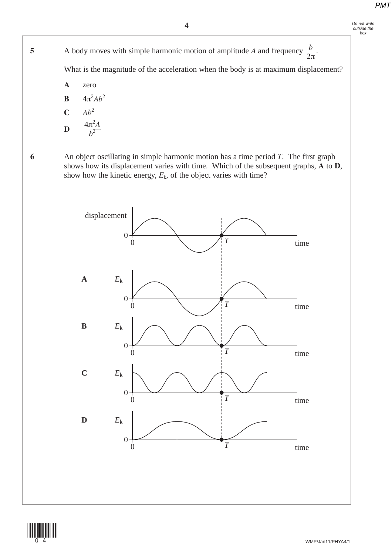**5** A body moves with simple harmonic motion of amplitude *A* and frequency  $\frac{b}{2}$ . 2π *b*

What is the magnitude of the acceleration when the body is at maximum displacement?

**A** zero

**B**  $4\pi^2Ab^2$ 

$$
\begin{array}{cc}\n\textbf{C} & A b^2 \\
\textbf{D} & \frac{4\pi^2 A}{b^2}\n\end{array}
$$

 **6** An object oscillating in simple harmonic motion has a time period *T*. The first graph shows how its displacement varies with time. Which of the subsequent graphs, **A** to **D**, show how the kinetic energy,  $E_k$ , of the object varies with time?



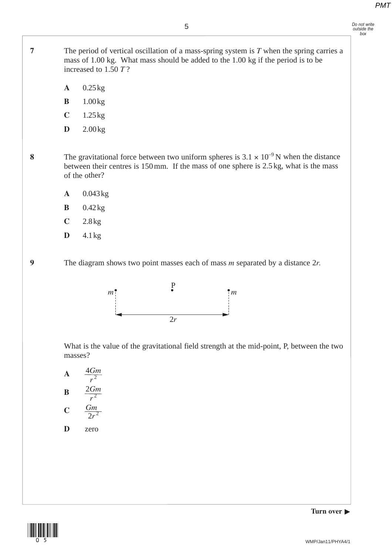**7** The period of vertical oscillation of a mass-spring system is *T* when the spring carries a mass of 1.00 kg. What mass should be added to the 1.00 kg if the period is to be increased to 1.50 *T* ?

- **<sup>A</sup>** 0.25kg
- **<sup>B</sup>** 1.00kg
- **<sup>C</sup>** 1.25kg
- **D** 2.00kg

**8** The gravitational force between two uniform spheres is  $3.1 \times 10^{-9}$  N when the distance between their centres is 150 mm. If the mass of one sphere is 2.5 kg, what is the mass of the other?

- **A** 0.043kg
- **B** 0.42kg
- **C** 2.8kg
- **D** 4.1kg

 **9** The diagram shows two point masses each of mass *<sup>m</sup>* separated by a distance 2*r.*



What is the value of the gravitational field strength at the mid-point, P, between the two masses?

 **A B C**  $\overline{r^2}$ 4*Gm*  $r^2$ 2*Gm*  $2r^2$ *Gm*

 **D** zero



**Turn over**  $\blacktriangleright$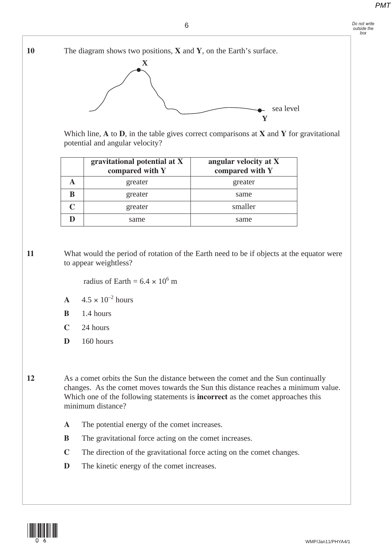*Do not write outside the box*

**10** The diagram shows two positions, **X** and **Y**, on the Earth's surface. **X Y** sea level

> Which line, **A** to **D**, in the table gives correct comparisons at **X** and **Y** for gravitational potential and angular velocity?

|   | gravitational potential at X<br>compared with Y | angular velocity at X<br>compared with Y |
|---|-------------------------------------------------|------------------------------------------|
|   | greater                                         | greater                                  |
| B | greater                                         | same                                     |
|   | greater                                         | smaller                                  |
|   | same                                            | same                                     |

**11** What would the period of rotation of the Earth need to be if objects at the equator were to appear weightless?

radius of Earth =  $6.4 \times 10^6$  m

- **A**  $4.5 \times 10^{-2}$  hours
- **B** 1.4 hours
- **C** 24 hours
- **D** 160 hours

**12** As a comet orbits the Sun the distance between the comet and the Sun continually changes. As the comet moves towards the Sun this distance reaches a minimum value. Which one of the following statements is **incorrect** as the comet approaches this minimum distance?

- **A** The potential energy of the comet increases.
- **B** The gravitational force acting on the comet increases.
- **C** The direction of the gravitational force acting on the comet changes.
- **D** The kinetic energy of the comet increases.

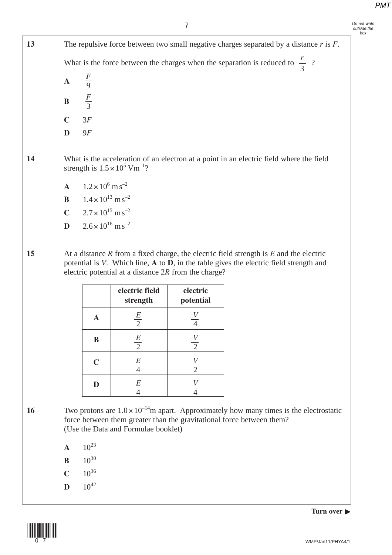*Do not write outside the box*

**13** The repulsive force between two small negative charges separated by a distance *r* is *F*. What is the force between the charges when the separation is reduced to  $\frac{1}{2}$ ? **A B C** 3*F* **D** 9*F* **14** What is the acceleration of an electron at a point in an electric field where the field 3 *r* 9 *F* 3 *F*

**A**  $1.2 \times 10^6$  m s<sup>-2</sup>

strength is  $1.5 \times 10^5$  Vm<sup>-1</sup>?

- **B**  $1.4 \times 10^{13} \text{ m s}^{-2}$
- **C**  $2.7 \times 10^{15} \text{ m s}^{-2}$
- **D**  $2.6 \times 10^{16}$  m s<sup>-2</sup>

**15** At a distance *R* from a fixed charge, the electric field strength is *E* and the electric potential is *V*. Which line, **A** to **D**, in the table gives the electric field strength and electric potential at a distance 2*R* from the charge?

|             | electric field<br>strength | electric<br>potential              |
|-------------|----------------------------|------------------------------------|
| A           | $rac{E}{2}$                |                                    |
| B           | $rac{E}{2}$                | $\boldsymbol{V}$<br>$\overline{2}$ |
| $\mathbf C$ | E                          | $\overline{2}$                     |
| D           | E                          |                                    |

16 Two protons are  $1.0 \times 10^{-14}$ m apart. Approximately how many times is the electrostatic force between them greater than the gravitational force between them? (Use the Data and Formulae booklet)

- $A = 10^{23}$
- **B**  $10^{30}$
- $C = 10^{36}$
- $D = 10^{42}$



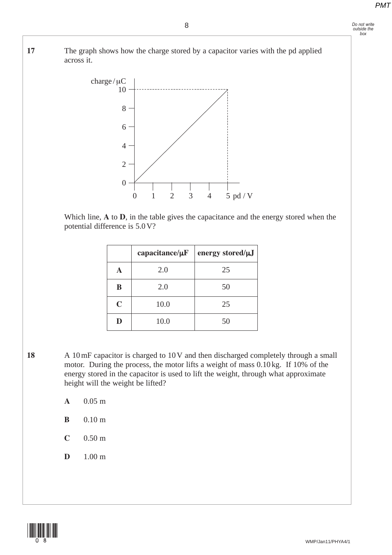**17** The graph shows how the charge stored by a capacitor varies with the pd applied across it.

8



Which line, **A** to **D**, in the table gives the capacitance and the energy stored when the potential difference is 5.0 V?

|             | capacitance/ $\mu$ F | energy stored/µJ |
|-------------|----------------------|------------------|
| A           | 2.0                  | 25               |
| B           | 2.0                  | 50               |
| $\mathbf C$ | 10.0                 | 25               |
| D           | 10.0                 | 50               |

- **18** A 10 mF capacitor is charged to 10 V and then discharged completely through a small motor. During the process, the motor lifts a weight of mass 0.10 kg. If 10% of the energy stored in the capacitor is used to lift the weight, through what approximate height will the weight be lifted?
	- **A** 0.05 m
	- **B** 0.10 m
	- **C** 0.50 m
	- **D** 1.00 m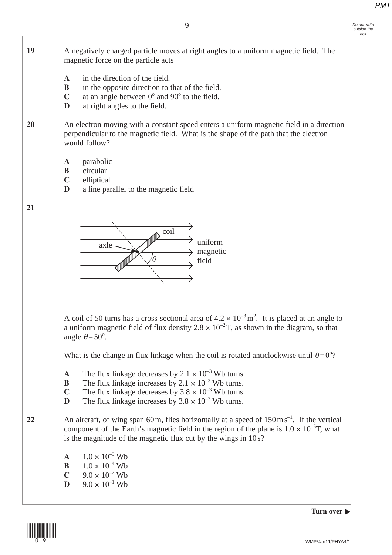- *Do not write outside the box*
- **19** A negatively charged particle moves at right angles to a uniform magnetic field. The magnetic force on the particle acts
	- **A** in the direction of the field.
	- **B** in the opposite direction to that of the field.
	- $C$  at an angle between  $0^{\circ}$  and  $90^{\circ}$  to the field.
	- **D** at right angles to the field.

**20** An electron moving with a constant speed enters a uniform magnetic field in a direction perpendicular to the magnetic field. What is the shape of the path that the electron would follow?

- **A** parabolic
- **B** circular
- **C** elliptical
- **D** a line parallel to the magnetic field

**21** 



A coil of 50 turns has a cross-sectional area of  $4.2 \times 10^{-3}$  m<sup>2</sup>. It is placed at an angle to a uniform magnetic field of flux density  $2.8 \times 10^{-2}$  T, as shown in the diagram, so that angle  $\theta = 50^\circ$ .

What is the change in flux linkage when the coil is rotated anticlockwise until  $\theta = 0^{\circ}$ ?

- **A** The flux linkage decreases by  $2.1 \times 10^{-3}$  Wb turns.
- **B** The flux linkage increases by  $2.1 \times 10^{-3}$  Wb turns.
- **C** The flux linkage decreases by  $3.8 \times 10^{-3}$  Wb turns.
- **D** The flux linkage increases by  $3.8 \times 10^{-3}$  Wb turns.
- 22 An aircraft, of wing span 60 m, flies horizontally at a speed of  $150 \text{ m s}^{-1}$ . If the vertical component of the Earth's magnetic field in the region of the plane is  $1.0 \times 10^{-5}$ T, what is the magnitude of the magnetic flux cut by the wings in 10 s?
	- **A**  $1.0 \times 10^{-5}$  Wb **B**  $1.0 \times 10^{-4}$  Wb
	- **C**  $9.0 \times 10^{-2}$  Wb
	- **D**  $9.0 \times 10^{-1}$  Wb

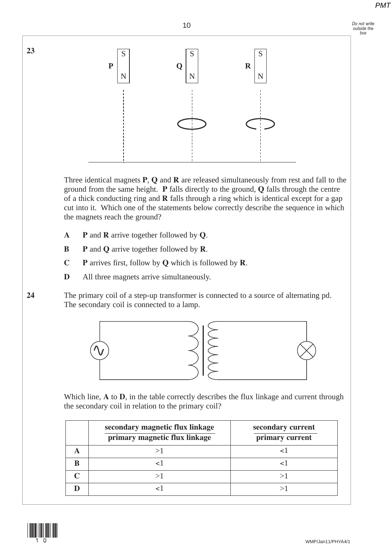*Do not write outside the box*



Three identical magnets **P**, **Q** and **R** are released simultaneously from rest and fall to the ground from the same height. **P** falls directly to the ground, **Q** falls through the centre of a thick conducting ring and **R** falls through a ring which is identical except for a gap cut into it. Which one of the statements below correctly describe the sequence in which the magnets reach the ground?

- **A P** and **R** arrive together followed by **Q**.
- **B P** and **Q** arrive together followed by **R**.
- **C P** arrives first, follow by **Q** which is followed by **R**.
- **D** All three magnets arrive simultaneously.

**24** The primary coil of a step-up transformer is connected to a source of alternating pd. The secondary coil is connected to a lamp.



Which line, **A** to **D**, in the table correctly describes the flux linkage and current through the secondary coil in relation to the primary coil?

| secondary magnetic flux linkage<br>primary magnetic flux linkage | secondary current<br>primary current |
|------------------------------------------------------------------|--------------------------------------|
|                                                                  |                                      |
|                                                                  |                                      |
|                                                                  |                                      |
|                                                                  |                                      |



**23**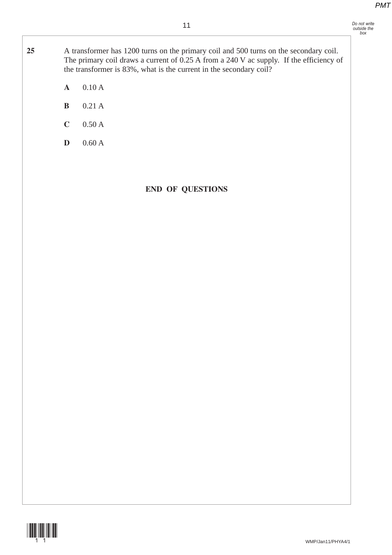*Do not write outside the box*

**25** A transformer has 1200 turns on the primary coil and 500 turns on the secondary coil. The primary coil draws a current of 0.25 A from a 240 V ac supply. If the efficiency of the transformer is 83%, what is the current in the secondary coil?

- **A** 0.10 A
- **B** 0.21 A
- **C** 0.50 A
- **D** 0.60 A

## **END OF QUESTIONS**